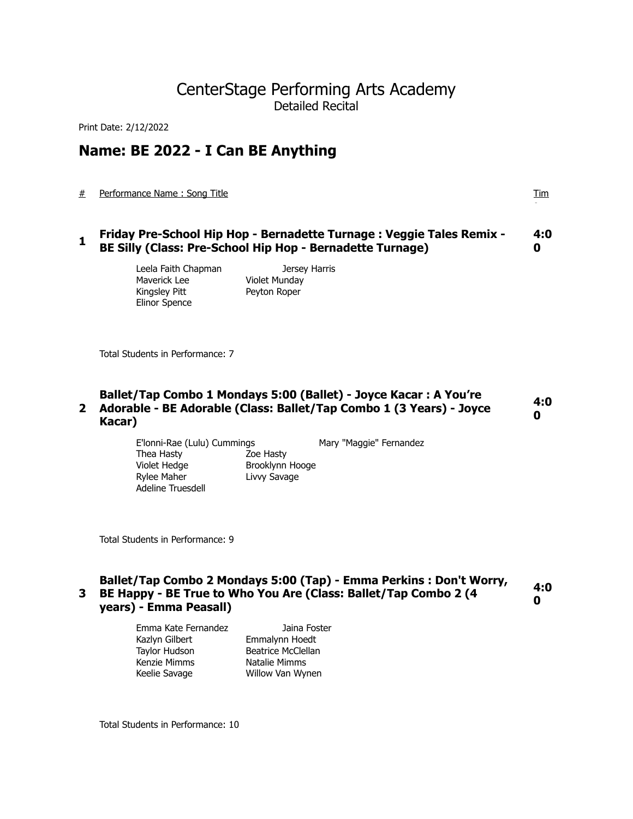# CenterStage Performing Arts Academy Detailed Recital

Print Date: 2/12/2022

# **Name: BE 2022 - I Can BE Anything**

# Performance Name : Song Title Tim

**1** Friday Pre-School Hip Hop - Bernadette Turnage : Veggie Tales Remix -**BE Silly (Class: Pre-School Hip Hop - Bernadette Turnage) 4:0 0**

> Maverick Lee **Violet Munday** Kingsley Pitt Peyton Roper Elinor Spence

Leela Faith Chapman **Jersey Harris** 

Total Students in Performance: 7

### **2 Adorable - BE Adorable (Class: Ballet/Tap Combo 1 (3 Years) - Joyce Ballet/Tap Combo 1 Mondays 5:00 (Ballet) - Joyce Kacar : A You're Kacar) 4:0 0**

E'lonni-Rae (Lulu) Cummings Mary "Maggie" Fernandez Thea Hasty Zoe Hasty Violet Hedge Brooklynn Hooge Rylee Maher **Livy Savage** Adeline Truesdell

Total Students in Performance: 9

# **3 BE Happy - BE True to Who You Are (Class: Ballet/Tap Combo 2 (4 Ballet/Tap Combo 2 Mondays 5:00 (Tap) - Emma Perkins : Don't Worry, years) - Emma Peasall) 4:0 0**

| Emma Kate Fernandez | Jaina Foster              |
|---------------------|---------------------------|
| Kazlyn Gilbert      | Emmalynn Hoedt            |
| Taylor Hudson       | <b>Beatrice McClellan</b> |
| Kenzie Mimms        | Natalie Mimms             |
| Keelie Savage       | Willow Van Wynen          |

Total Students in Performance: 10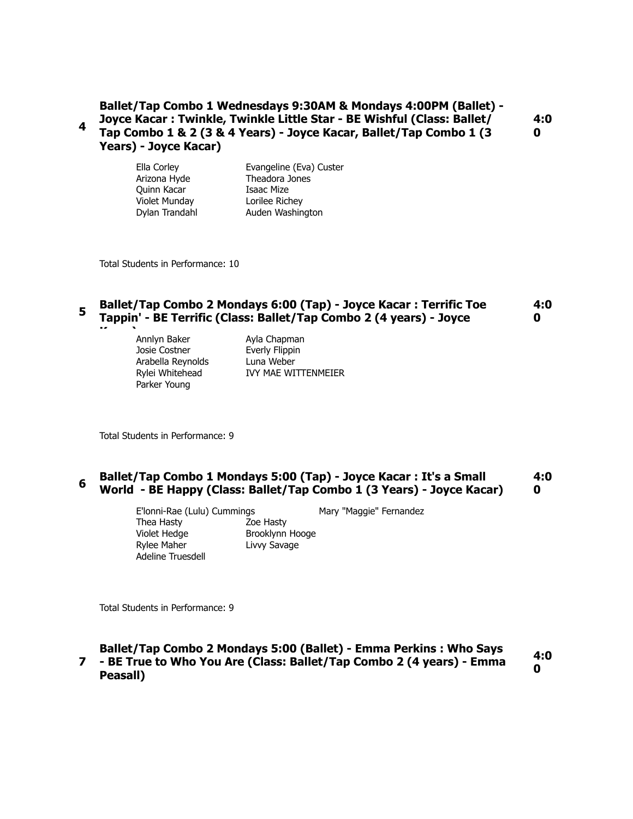# **4 Ballet/Tap Combo 1 Wednesdays 9:30AM & Mondays 4:00PM (Ballet) - Joyce Kacar : Twinkle, Twinkle Little Star - BE Wishful (Class: Ballet/ Tap Combo 1 & 2 (3 & 4 Years) - Joyce Kacar, Ballet/Tap Combo 1 (3 Years) - Joyce Kacar)**

**4:0 0**

Ella Corley Evangeline (Eva) Custer Arizona Hyde Theadora Jones Quinn Kacar **Isaac Mize** Violet Munday Lorilee Richey Dylan Trandahl Auden Washington

Total Students in Performance: 10

#### **<sup>5</sup>Ballet/Tap Combo 2 Mondays 6:00 (Tap) - Joyce Kacar : Terrific Toe Tappin' - BE Terrific (Class: Ballet/Tap Combo 2 (4 years) - Joyce 4:0 0**

**Kacar)** Annlyn Baker Ayla Chapman Josie Costner **Everly Flippin** Arabella Reynolds Luna Weber Parker Young

Rylei Whitehead IVY MAE WITTENMEIER

Total Students in Performance: 9

#### **<sup>6</sup>Ballet/Tap Combo 1 Mondays 5:00 (Tap) - Joyce Kacar : It's a Small World - BE Happy (Class: Ballet/Tap Combo 1 (3 Years) - Joyce Kacar) 4:0 0**

E'lonni-Rae (Lulu) Cummings Mary "Maggie" Fernandez Thea Hasty Zoe Hasty Violet Hedge Brooklynn Hooge Rylee Maher **Livy Savage** Adeline Truesdell

Total Students in Performance: 9

### **7 - BE True to Who You Are (Class: Ballet/Tap Combo 2 (4 years) - Emma Ballet/Tap Combo 2 Mondays 5:00 (Ballet) - Emma Perkins : Who Says Peasall) 4:0 0**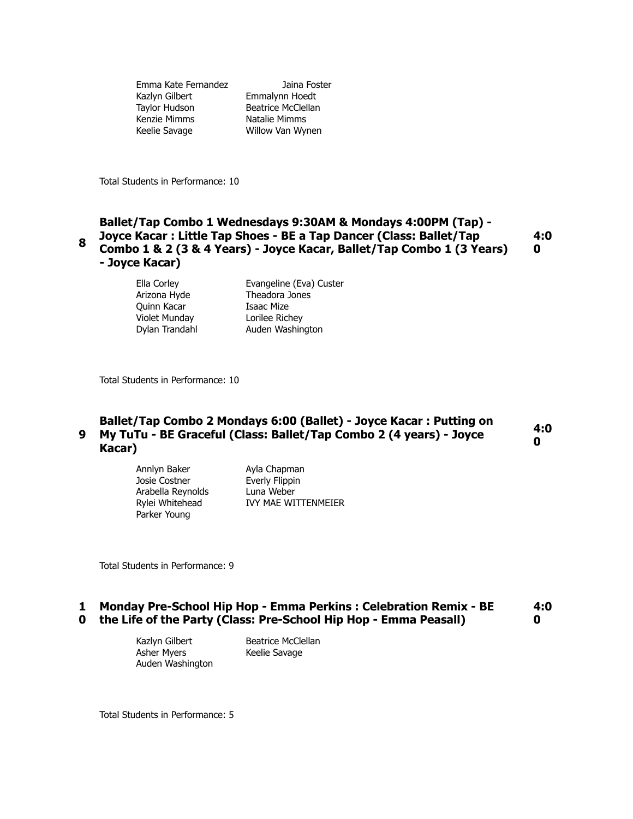Emma Kate Fernandez Jaina Foster Kazlyn Gilbert Emmalynn Hoedt Taylor Hudson Beatrice McClellan Kenzie Mimms Natalie Mimms Keelie Savage Willow Van Wynen

Total Students in Performance: 10

## **8 Ballet/Tap Combo 1 Wednesdays 9:30AM & Mondays 4:00PM (Tap) - Joyce Kacar : Little Tap Shoes - BE a Tap Dancer (Class: Ballet/Tap Combo 1 & 2 (3 & 4 Years) - Joyce Kacar, Ballet/Tap Combo 1 (3 Years) - Joyce Kacar) 4:0 0**

Ella Corley Evangeline (Eva) Custer Arizona Hyde Theadora Jones Quinn Kacar **Isaac Mize** Violet Munday Lorilee Richey Dylan Trandahl **Auden Washington** 

Total Students in Performance: 10

# **9 My TuTu - BE Graceful (Class: Ballet/Tap Combo 2 (4 years) - Joyce Ballet/Tap Combo 2 Mondays 6:00 (Ballet) - Joyce Kacar : Putting on Kacar) 4:0 0**

Annlyn Baker Ayla Chapman Josie Costner **Everly Flippin** Arabella Reynolds Luna Weber<br>
Rylei Whitehead IVY MAE WI Parker Young

IVY MAE WITTENMEIER

Total Students in Performance: 9

#### **1 Monday Pre-School Hip Hop - Emma Perkins : Celebration Remix - BE 0 the Life of the Party (Class: Pre-School Hip Hop - Emma Peasall) 4:0 0**

Kazlyn Gilbert Beatrice McClellan Asher Myers Keelie Savage Auden Washington

Total Students in Performance: 5